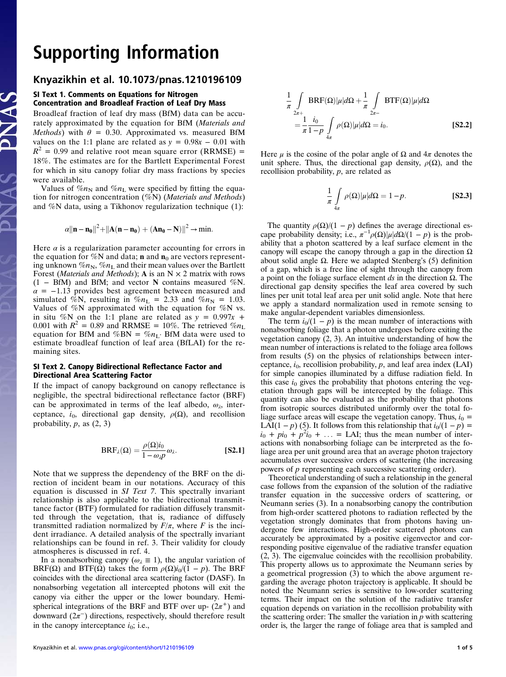# **Supporting Information**<br>Knyazikhin et al. 10.1073/pnas.1210196109

## of the al. 10.1073.<br>SI Text 1. Comments on Equations for Nitrogen Concentration and Broadleaf Fraction of Leaf Dry Mass

Broadleaf fraction of leaf dry mass (BfM) data can be accurately approximated by the equation for BfM (Materials and Methods) with  $\theta = 0.30$ . Approximated vs. measured BfM values on the 1:1 plane are related as  $y = 0.98x - 0.01$  with  $R^2$  = 0.99 and relative root mean square error (RRMSE) = 18%. The estimates are for the Bartlett Experimental Forest for which in situ canopy foliar dry mass fractions by species were available.

Values of  $\%n_N$  and  $\%n_L$  were specified by fitting the equation for nitrogen concentration  $(\%N)$  (Materials and Methods) and %N data, using a Tikhonov regularization technique (1):

$$
\alpha ||n - n_0||^2 + ||A(n - n_0) + (An_0 - N)||^2 \rightarrow min.
$$

Here  $\alpha$  is a regularization parameter accounting for errors in the equation for %N and data; **n** and  $n_0$  are vectors representing unknown  $\%n_N$ ,  $\%n_L$  and their mean values over the Bartlett Forest (Materials and Methods); A is an  $N \times 2$  matrix with rows  $(1 - BfM)$  and BfM; and vector N contains measured %N.  $\alpha$  = −1.13 provides best agreement between measured and simulated %N, resulting in  $\%n_L = 2.33$  and  $\%n_N = 1.03$ . Values of %N approximated with the equation for %N vs. in situ %N on the 1:1 plane are related as  $y = 0.997x +$ 0.001 with  $R^2 = 0.89$  and RRMSE = 10%. The retrieved  $\%n_{\text{L}}$ equation for BfM and %BN = % $n_{\text{L}}$ . BfM data were used to estimate broadleaf function of leaf area (BfLAI) for the remaining sites.

### SI Text 2. Canopy Bidirectional Reflectance Factor and Directional Area Scattering Factor

If the impact of canopy background on canopy reflectance is negligible, the spectral bidirectional reflectance factor (BRF) can be approximated in terms of the leaf albedo,  $\omega_{\lambda}$ , interceptance,  $i_0$ , directional gap density,  $\rho(\Omega)$ , and recollision probability,  $p$ , as  $(2, 3)$ 

$$
BRF_{\lambda}(\Omega) = \frac{\rho(\Omega)i_0}{1 - \omega_{\lambda}p} \omega_{\lambda}.
$$
 [S2.1]

Note that we suppress the dependency of the BRF on the direction of incident beam in our notations. Accuracy of this equation is discussed in SI Text 7. This spectrally invariant relationship is also applicable to the bidirectional transmittance factor (BTF) formulated for radiation diffusely transmitted through the vegetation, that is, radiance of diffusely transmitted radiation normalized by  $F/\pi$ , where F is the incident irradiance. A detailed analysis of the spectrally invariant relationships can be found in ref. 3. Their validity for cloudy atmospheres is discussed in ref. 4.

In a nonabsorbing canopy ( $\omega_{\lambda} \equiv 1$ ), the angular variation of BRF( $\Omega$ ) and BTF( $\Omega$ ) takes the form  $\rho(\Omega)i_0/(1 - p)$ . The BRF coincides with the directional area scattering factor (DASF). In nonabsorbing vegetation all intercepted photons will exit the canopy via either the upper or the lower boundary. Hemispherical integrations of the BRF and BTF over up-  $(2\pi^+)$  and downward  $(2\pi^-)$  directions, respectively, should therefore result in the canopy interceptance  $i_0$ ; i.e.,

$$
\frac{1}{\pi} \int_{2\pi +}^{1} \text{BRF}(\Omega) |\mu| d\Omega + \frac{1}{\pi} \int_{2\pi -}^{\pi} \text{BTF}(\Omega) |\mu| d\Omega
$$
\n
$$
= \frac{1}{\pi} \frac{i_0}{1 - p} \int_{4\pi}^{\pi} \rho(\Omega) |\mu| d\Omega = i_0.
$$
\n[S2.2]

Here  $\mu$  is the cosine of the polar angle of  $\Omega$  and  $4\pi$  denotes the unit sphere. Thus, the directional gap density,  $\rho(\Omega)$ , and the recollision probability, p, are related as

$$
\frac{1}{\pi} \int_{4\pi} \rho(\Omega) |\mu| d\Omega = 1 - p.
$$
 [S2.3]

The quantity  $\rho(\Omega)/(1 - p)$  defines the average directional escape probability density; i.e.,  $\pi^{-1}\rho(\Omega)|\mu|d\Omega/(1-p)$  is the probability that a photon scattered by a leaf surface element in the canopy will escape the canopy through a gap in the direction  $Ω$ about solid angle  $Ω$ . Here we adapted Stenberg's (5) definition of a gap, which is a free line of sight through the canopy from a point on the foliage surface element  $ds$  in the direction  $Ω$ . The directional gap density specifies the leaf area covered by such lines per unit total leaf area per unit solid angle. Note that here we apply a standard normalization used in remote sensing to make angular-dependent variables dimensionless.

The term  $i_0/(1 - p)$  is the mean number of interactions with nonabsorbing foliage that a photon undergoes before exiting the vegetation canopy (2, 3). An intuitive understanding of how the mean number of interactions is related to the foliage area follows from results (5) on the physics of relationships between interceptance,  $i_0$ , recollision probability, p, and leaf area index (LAI) for simple canopies illuminated by a diffuse radiation field. In this case  $i_0$  gives the probability that photons entering the vegetation through gaps will be intercepted by the foliage. This quantity can also be evaluated as the probability that photons from isotropic sources distributed uniformly over the total foliage surface areas will escape the vegetation canopy. Thus,  $i_0$  = LAI(1 − p) (5). It follows from this relationship that  $i_0/(1 - p) =$  $i_0 + pi_0 + p^2i_0 + \ldots =$  LAI; thus the mean number of interactions with nonabsorbing foliage can be interpreted as the foliage area per unit ground area that an average photon trajectory accumulates over successive orders of scattering (the increasing powers of p representing each successive scattering order).

Theoretical understanding of such a relationship in the general case follows from the expansion of the solution of the radiative transfer equation in the successive orders of scattering, or Neumann series (3). In a nonabsorbing canopy the contribution from high-order scattered photons to radiation reflected by the vegetation strongly dominates that from photons having undergone few interactions. High-order scattered photons can accurately be approximated by a positive eigenvector and corresponding positive eigenvalue of the radiative transfer equation (2, 3). The eigenvalue coincides with the recollision probability. This property allows us to approximate the Neumann series by a geometrical progression (3) to which the above argument regarding the average photon trajectory is applicable. It should be noted the Neumann series is sensitive to low-order scattering terms. Their impact on the solution of the radiative transfer equation depends on variation in the recollision probability with the scattering order: The smaller the variation in  $p$  with scattering order is, the larger the range of foliage area that is sampled and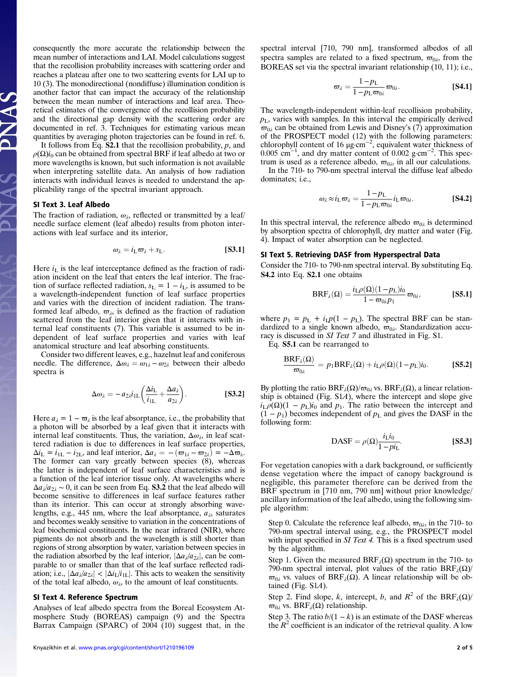consequently the more accurate the relationship between the mean number of interactions and LAI. Model calculations suggest that the recollision probability increases with scattering order and reaches a plateau after one to two scattering events for LAI up to 10 (3). The monodirectional (nondiffuse) illumination condition is another factor that can impact the accuracy of the relationship between the mean number of interactions and leaf area. Theoretical estimates of the convergence of the recollision probability and the directional gap density with the scattering order are documented in ref. 3. Techniques for estimating various mean quantities by averaging photon trajectories can be found in ref. 6.

It follows from Eq.  $S2.1$  that the recollision probability,  $p$ , and  $\rho(\Omega)i_0$  can be obtained from spectral BRF if leaf albedo at two or more wavelengths is known, but such information is not available when interpreting satellite data. An analysis of how radiation interacts with individual leaves is needed to understand the applicability range of the spectral invariant approach.

#### SI Text 3. Leaf Albedo

The fraction of radiation,  $\omega_{\lambda}$ , reflected or transmitted by a leaf/ needle surface element (leaf albedo) results from photon interactions with leaf surface and its interior,

$$
\omega_{\lambda} = i_{\text{L}}\varpi_{\lambda} + s_{\text{L}}.\tag{S3.1}
$$

Here  $i_L$  is the leaf interceptance defined as the fraction of radiation incident on the leaf that enters the leaf interior. The fraction of surface reflected radiation,  $s_L = 1 - i_L$ , is assumed to be a wavelength-independent function of leaf surface properties and varies with the direction of incident radiation. The transformed leaf albedo,  $\varpi_{\lambda}$ , is defined as the fraction of radiation scattered from the leaf interior given that it interacts with internal leaf constituents (7). This variable is assumed to be independent of leaf surface properties and varies with leaf anatomical structure and leaf absorbing constituents.

Consider two different leaves, e.g., hazelnut leaf and coniferous needle. The difference,  $\Delta \omega_{\lambda} = \omega_{1\lambda} - \omega_{2\lambda}$  between their albedo spectra is

$$
\Delta \omega_{\lambda} = -a_{2\lambda} i_{1\text{L}} \left( \frac{\Delta i_{\text{L}}}{i_{1\text{L}}} + \frac{\Delta a_{\lambda}}{a_{2\lambda}} \right). \tag{S3.2}
$$

Here  $a_{\lambda} = 1 - \varpi_{\lambda}$  is the leaf absorptance, i.e., the probability that a photon will be absorbed by a leaf given that it interacts with internal leaf constituents. Thus, the variation,  $\Delta \omega_{\lambda}$ , in leaf scattered radiation is due to differences in leaf surface properties,  $\Delta i_L = i_{1L} - i_{2L}$ , and leaf interior,  $\Delta a_{\lambda} = -(\varpi_{1\lambda} - \varpi_{2\lambda}) = -\Delta \varpi_{\lambda}$ . The former can vary greatly between species (8), whereas the latter is independent of leaf surface characteristics and is a function of the leaf interior tissue only. At wavelengths where  $\Delta a_{\lambda}/a_{2\lambda} \sim 0$ , it can be seen from Eq. **S3.2** that the leaf albedo will become sensitive to differences in leaf surface features rather than its interior. This can occur at strongly absorbing wavelengths, e.g., 445 nm, where the leaf absorptance,  $a_{\lambda}$ , saturates and becomes weakly sensitive to variation in the concentrations of leaf biochemical constituents. In the near infrared (NIR), where pigments do not absorb and the wavelength is still shorter than regions of strong absorption by water, variation between species in the radiation absorbed by the leaf interior,  $|\Delta a_{\lambda}/a_{2\lambda}|$ , can be comparable to or smaller than that of the leaf surface reflected radiation; i.e.,  $|\Delta a_{\lambda}/a_{2\lambda}| < |\Delta i_{\text{L}}/i_{1\text{L}}|$ . This acts to weaken the sensitivity of the total leaf albedo,  $\omega_{\lambda}$ , to the amount of leaf constituents.

#### SI Text 4. Reference Spectrum

Analyses of leaf albedo spectra from the Boreal Ecosystem Atmosphere Study (BOREAS) campaign (9) and the Spectra Barrax Campaign (SPARC) of 2004 (10) suggest that, in the spectral interval [710, 790 nm], transformed albedos of all spectra samples are related to a fixed spectrum,  $\varpi_{0\lambda}$ , from the BOREAS set via the spectral invariant relationship (10, 11); i.e.,

$$
\varpi_{\lambda} = \frac{1 - p_{\rm L}}{1 - p_{\rm L} \varpi_{0\lambda}} \varpi_{0\lambda}.
$$
 [S4.1]

The wavelength-independent within-leaf recollision probability,  $p<sub>L</sub>$ , varies with samples. In this interval the empirically derived  $\varpi_{0\lambda}$  can be obtained from Lewis and Disney's (7) approximation of the PROSPECT model (12) with the following parameters:<br>chlorophyll content of 16  $\mu$ g·cm<sup>-2</sup>, equivalent water thickness of<br>0.005 cm<sup>-1</sup>, and dry matter content of 0.002 g·cm<sup>-2</sup>. This spectrum is used as a reference albedo,  $\varpi_{0\lambda}$ , in all our calculations. In the 710- to 790-nm spectral interval the diffuse leaf albedo

dominates; i.e.,

$$
\omega_{\lambda} \approx i_{\text{L}} \varpi_{\lambda} = \frac{1 - p_{\text{L}}}{1 - p_{\text{L}} \varpi_{0\lambda}} i_{\text{L}} \varpi_{0\lambda}.
$$
 [S4.2]

In this spectral interval, the reference albedo  $\varpi_{0\lambda}$  is determined by absorption spectra of chlorophyll, dry matter and water (Fig. 4). Impact of water absorption can be neglected.

#### SI Text 5. Retrieving DASF from Hyperspectral Data

Consider the 710- to 790-nm spectral interval. By substituting Eq. S4.2 into Eq. S2.1 one obtains

$$
\text{BRF}_{\lambda}(\Omega) = \frac{i_{\text{L}}\rho(\Omega)(1 - p_{\text{L}})i_0}{1 - \varpi_{0\lambda}p_1}\varpi_{0\lambda},
$$
 [S5.1]

where  $p_1 = p_L + i_L p(1 - p_L)$ . The spectral BRF can be standardized to a single known albedo,  $\varpi_{0\lambda}$ . Standardization accuracy is discussed in SI Text 7 and illustrated in Fig. S1.

Eq. S5.1 can be rearranged to

$$
\frac{\text{BRF}_{\lambda}(\Omega)}{\varpi_{0\lambda}} = p_1 \text{BRF}_{\lambda}(\Omega) + i_{\text{L}}\rho(\Omega)(1 - p_{\text{L}})i_0.
$$
 [S5.2]

By plotting the ratio  $BRF_{\lambda}(\Omega)/\varpi_{0\lambda}$  vs.  $BRF_{\lambda}(\Omega)$ , a linear relationship is obtained (Fig. S1A), where the intercept and slope give  $i_L \rho(\Omega) (1 - p_L) i_0$  and  $p_1$ . The ratio between the intercept and  $(1 - p_1)$  becomes independent of  $p_L$  and gives the DASF in the following form:

$$
DASF = \rho(\Omega) \frac{i_L i_0}{1 - p i_L}.
$$
 [S5.3]

For vegetation canopies with a dark background, or sufficiently dense vegetation where the impact of canopy background is negligible, this parameter therefore can be derived from the BRF spectrum in [710 nm, 790 nm] without prior knowledge/ ancillary information of the leaf albedo, using the following simple algorithm:

Step 0. Calculate the reference leaf albedo,  $\varpi_{0\lambda}$ , in the 710- to 790-nm spectral interval using, e.g., the PROSPECT model with input specified in SI Text 4. This is a fixed spectrum used by the algorithm.

Step 1. Given the measured  $BRF<sub>λ</sub>(\Omega)$  spectrum in the 710- to 790-nm spectral interval, plot values of the ratio  $\text{BRF}_{\lambda}(\Omega)$ /  $\varpi_{0\lambda}$  vs. values of BRF<sub> $\lambda$ </sub>( $\Omega$ ). A linear relationship will be obtained (Fig.  $S1A$ ).

Step 2. Find slope, k, intercept, b, and  $R^2$  of the BRF<sub> $\lambda$ </sub>( $\Omega$ )/  $\varpi_{0\lambda}$  vs. BRF<sub> $\lambda$ </sub>( $\Omega$ ) relationship.

Step 3. The ratio  $b/(1 - k)$  is an estimate of the DASF whereas the  $R^2$  coefficient is an indicator of the retrieval quality. A low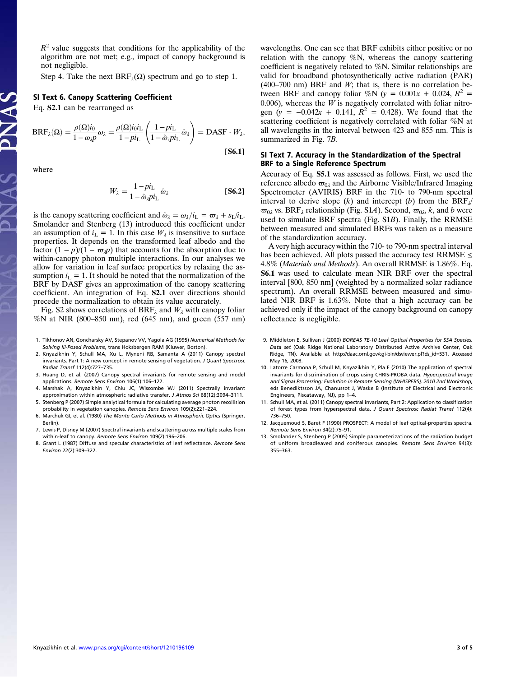$R<sup>2</sup>$  value suggests that conditions for the applicability of the algorithm are not met; e.g., impact of canopy background is not negligible.

Step 4. Take the next  $BRF_1(\Omega)$  spectrum and go to step 1.

#### SI Text 6. Canopy Scattering Coefficient

Eq. S2.1 can be rearranged as

$$
BRF_{\lambda}(\Omega) = \frac{\rho(\Omega)i_0}{1 - \omega_{\lambda}p} \omega_{\lambda} = \frac{\rho(\Omega)i_0i_L}{1 - pi_L} \left(\frac{1 - pi_L}{1 - \hat{\omega}_{\lambda}pi_L} \hat{\omega}_{\lambda}\right) = DASF \cdot W_{\lambda},
$$
\n[**S6.1**]

where

$$
W_{\lambda} = \frac{1 - pi_{\rm L}}{1 - \hat{\omega}_{\lambda}pi_{\rm L}} \hat{\omega}_{\lambda}
$$
 [S6.2]

is the canopy scattering coefficient and  $\hat{\omega}_\lambda = \omega_\lambda/i_L = \varpi_\lambda + s_L/i_L$ . Smolander and Stenberg (13) introduced this coefficient under an assumption of  $i_L = 1$ . In this case  $W_\lambda$  is insensitive to surface properties. It depends on the transformed leaf albedo and the factor  $(1 - p)/(1 - \omega_p p)$  that accounts for the absorption due to within-canopy photon multiple interactions. In our analyses we allow for variation in leaf surface properties by relaxing the assumption  $i_L = 1$ . It should be noted that the normalization of the BRF by DASF gives an approximation of the canopy scattering coefficient. An integration of Eq. S2.1 over directions should precede the normalization to obtain its value accurately.

Fig. S2 shows correlations of BRF<sub> $\lambda$ </sub> and  $W_{\lambda}$  with canopy foliar %N at NIR (800–850 nm), red (645 nm), and green (557 nm)

- 1. Tikhonov AN, Goncharsky AV, Stepanov VV, Yagola AG (1995) Numerical Methods for Solving Ill-Posed Problems, trans Hoksbergen RAM (Kluwer, Boston).
- 2. Knyazikhin Y, Schull MA, Xu L, Myneni RB, Samanta A (2011) Canopy spectral invariants. Part 1: A new concept in remote sensing of vegetation. J Quant Spectrosc Radiat Transf 112(4):727–735.
- 3. Huang D, et al. (2007) Canopy spectral invariants for remote sensing and model applications. Remote Sens Environ 106(1):106–122.
- 4. Marshak A, Knyazikhin Y, Chiu JC, Wiscombe WJ (2011) Spectrally invariant approximation within atmospheric radiative transfer. J Atmos Sci 68(12):3094–3111.
- 5. Stenberg P (2007) Simple analytical formula for calculating average photon recollision probability in vegetation canopies. Remote Sens Environ 109(2):221–224.
- 6. Marchuk GI, et al. (1980) The Monte Carlo Methods in Atmospheric Optics (Springer, Berlin).
- 7. Lewis P, Disney M (2007) Spectral invariants and scattering across multiple scales from within-leaf to canopy. Remote Sens Environ 109(2):196–206.
- 8. Grant L (1987) Diffuse and specular characteristics of leaf reflectance. Remote Sens Environ 22(2):309–322.

wavelengths. One can see that BRF exhibits either positive or no relation with the canopy %N, whereas the canopy scattering coefficient is negatively related to %N. Similar relationships are valid for broadband photosynthetically active radiation (PAR)  $(400-700)$  nm) BRF and *W*; that is, there is no correlation between BRF and canopy foliar %N (y =  $0.001x + 0.024$ , R<sup>2</sup> = 0.006), whereas the  $W$  is negatively correlated with foliar nitrogen (y =  $-0.042x + 0.141$ ,  $R^2 = 0.428$ ). We found that the scattering coefficient is negatively correlated with foliar %N at all wavelengths in the interval between 423 and 855 nm. This is summarized in Fig. 7B.

#### SI Text 7. Accuracy in the Standardization of the Spectral BRF to a Single Reference Spectrum

Accuracy of Eq. S5.1 was assessed as follows. First, we used the reference albedo  $\varpi_{0\lambda}$  and the Airborne Visible/Infrared Imaging Spectrometer (AVIRIS) BRF in the 710- to 790-nm spectral interval to derive slope  $(k)$  and intercept  $(b)$  from the BRF<sub> $\lambda$ </sub>  $\varpi_{0\lambda}$  vs. BRF<sub> $\lambda$ </sub> relationship (Fig. S1A). Second,  $\varpi_{0\lambda}$ , k, and b were used to simulate BRF spectra (Fig. S1B). Finally, the RRMSE between measured and simulated BRFs was taken as a measure of the standardization accuracy.

A very high accuracy within the 710- to 790-nm spectral interval has been achieved. All plots passed the accuracy test RRMSE  $\leq$ 4.8% (Materials and Methods). An overall RRMSE is 1.86%. Eq. S6.1 was used to calculate mean NIR BRF over the spectral interval [800, 850 nm] (weighted by a normalized solar radiance spectrum). An overall RRMSE between measured and simulated NIR BRF is 1.63%. Note that a high accuracy can be achieved only if the impact of the canopy background on canopy reflectance is negligible.

- 9. Middleton E, Sullivan J (2000) BOREAS TE-10 Leaf Optical Properties for SSA Species. Data set (Oak Ridge National Laboratory Distributed Active Archive Center, Oak Ridge, TN). Available at [http://daac.ornl.gov/cgi-bin/dsviewer.pl?ds\\_id=531.](http://daac.ornl.gov/cgi-bin/dsviewer.pl?ds_id=531) Accessed May 16, 2008.
- 10. Latorre Carmona P, Schull M, Knyazikhin Y, Pla F (2010) The application of spectral invariants for discrimination of crops using CHRIS-PROBA data. Hyperspectral Image and Signal Processing: Evolution in Remote Sensing (WHISPERS), 2010 2nd Workshop, eds Benediktsson JA, Chanussot J, Waske B (Institute of Electrical and Electronic Engineers, Piscataway, NJ), pp 1–4.
- 11. Schull MA, et al. (2011) Canopy spectral invariants, Part 2: Application to classification of forest types from hyperspectral data. J Quant Spectrosc Radiat Transf 112(4): 736–750.
- 12. Jacquemoud S, Baret F (1990) PROSPECT: A model of leaf optical-properties spectra. Remote Sens Environ 34(2):75–91.
- 13. Smolander S, Stenberg P (2005) Simple parameterizations of the radiation budget of uniform broadleaved and coniferous canopies. Remote Sens Environ 94(3): 355–363.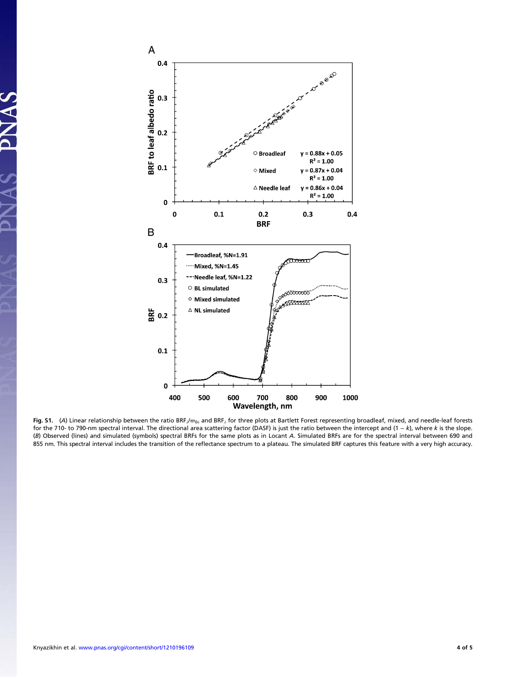

Fig. S1. (A) Linear relationship between the ratio BRF<sub>A</sub>/ $\omega_{0\lambda}$  and BRF<sub>A</sub> for three plots at Bartlett Forest representing broadleaf, mixed, and needle-leaf forests for the 710- to 790-nm spectral interval. The directional area scattering factor (DASF) is just the ratio between the intercept and (1 - k), where k is the slope. (B) Observed (lines) and simulated (symbols) spectral BRFs for the same plots as in Locant A. Simulated BRFs are for the spectral interval between 690 and 855 nm. This spectral interval includes the transition of the reflectance spectrum to a plateau. The simulated BRF captures this feature with a very high accuracy.

PNAS

 $\mathbf{X}$